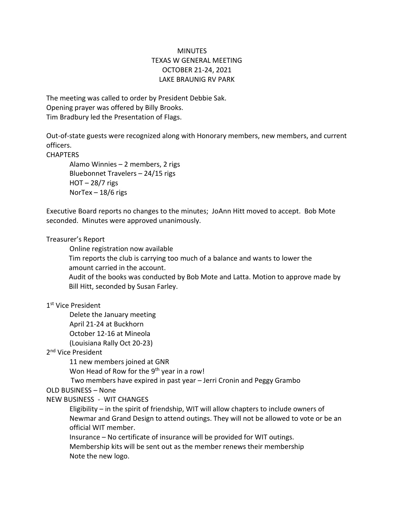# MINUTES TEXAS W GENERAL MEETING OCTOBER 21-24, 2021 LAKE BRAUNIG RV PARK

The meeting was called to order by President Debbie Sak. Opening prayer was offered by Billy Brooks. Tim Bradbury led the Presentation of Flags.

Out-of-state guests were recognized along with Honorary members, new members, and current officers.

**CHAPTERS** 

Alamo Winnies – 2 members, 2 rigs Bluebonnet Travelers – 24/15 rigs HOT – 28/7 rigs NorTex – 18/6 rigs

Executive Board reports no changes to the minutes; JoAnn Hitt moved to accept. Bob Mote seconded. Minutes were approved unanimously.

#### Treasurer's Report

Online registration now available

Tim reports the club is carrying too much of a balance and wants to lower the amount carried in the account.

Audit of the books was conducted by Bob Mote and Latta. Motion to approve made by Bill Hitt, seconded by Susan Farley.

#### 1 st Vice President

Delete the January meeting

April 21-24 at Buckhorn

October 12-16 at Mineola

(Louisiana Rally Oct 20-23)

## 2<sup>nd</sup> Vice President

11 new members joined at GNR

Won Head of Row for the  $9<sup>th</sup>$  year in a row!

Two members have expired in past year – Jerri Cronin and Peggy Grambo

## OLD BUSINESS – None

## NEW BUSINESS - WIT CHANGES

Eligibility – in the spirit of friendship, WIT will allow chapters to include owners of Newmar and Grand Design to attend outings. They will not be allowed to vote or be an official WIT member.

Insurance – No certificate of insurance will be provided for WIT outings. Membership kits will be sent out as the member renews their membership

Note the new logo.